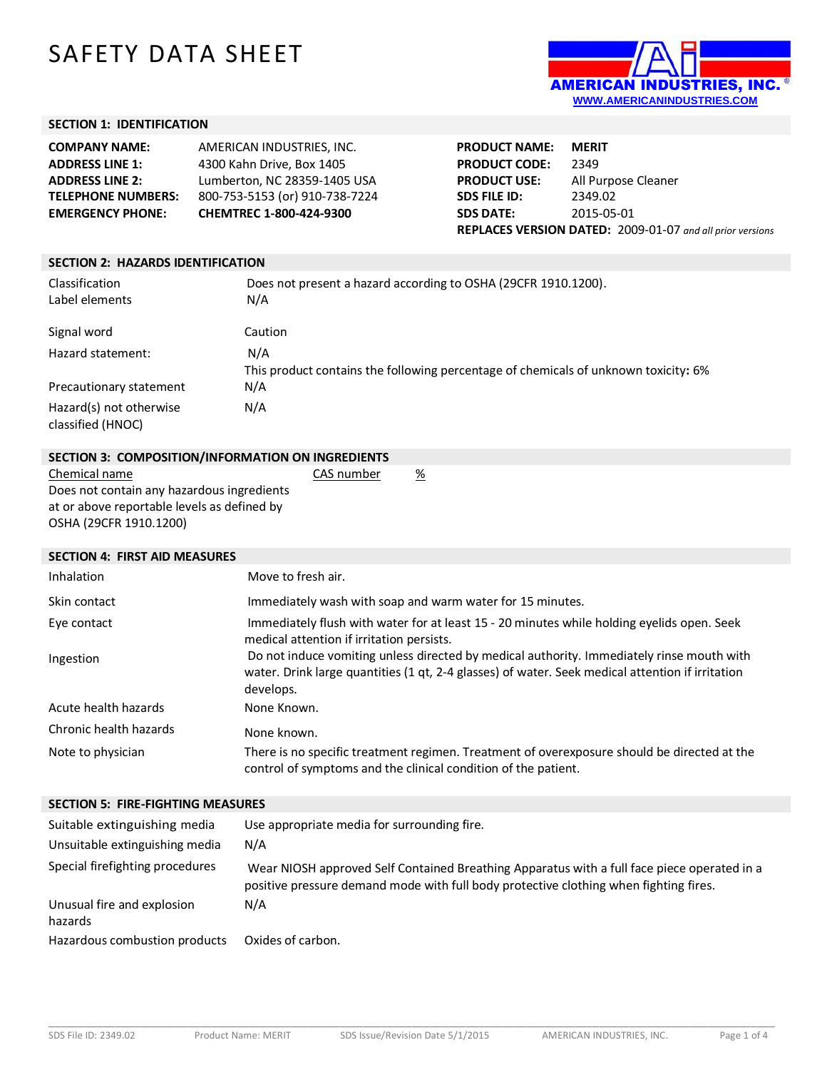# SAFETY DATA SHEET



## **SECTION 1: IDENTIFICATION**

| <b>COMPANY NAME:</b>      | AMERICAN INDUSTRIES. INC.      |
|---------------------------|--------------------------------|
| <b>ADDRESS LINE 1:</b>    | 4300 Kahn Drive, Box 1405      |
| <b>ADDRESS LINE 2:</b>    | Lumberton, NC 28359-1405 USA   |
| <b>TELEPHONE NUMBERS:</b> | 800-753-5153 (or) 910-738-7224 |
| <b>EMERGENCY PHONE:</b>   | CHEMTREC 1-800-424-9300        |

| <b>PRODUCT NAME:</b>                                      | <b>MERIT</b>        |
|-----------------------------------------------------------|---------------------|
| <b>PRODUCT CODE:</b>                                      | 2349                |
| <b>PRODUCT USE:</b>                                       | All Purpose Cleaner |
| SDS FILE ID:                                              | 2349.02             |
| <b>SDS DATE:</b>                                          | 2015-05-01          |
| REPLACES VERSION DATED: 2009-01-07 and all prior versions |                     |

# **SECTION 2: HAZARDS IDENTIFICATION** Classification Does not present a hazard according to OSHA (29CFR 1910.1200). Label elements N/A Signal word Caution Hazard statement: N/A This product contains the following percentage of chemicals of unknown toxicity**:** 6% Precautionary statement N/A Hazard(s) not otherwise classified (HNOC) N/A

## **SECTION 3: COMPOSITION/INFORMATION ON INGREDIENTS** Chemical name CAS number %

Does not contain any hazardous ingredients at or above reportable levels as defined by OSHA (29CFR 1910.1200)

## **SECTION 4: FIRST AID MEASURES**

| Inhalation             | Move to fresh air.                                                                                                                                                                                         |
|------------------------|------------------------------------------------------------------------------------------------------------------------------------------------------------------------------------------------------------|
| Skin contact           | Immediately wash with soap and warm water for 15 minutes.                                                                                                                                                  |
| Eye contact            | Immediately flush with water for at least 15 - 20 minutes while holding eyelids open. Seek<br>medical attention if irritation persists.                                                                    |
| Ingestion              | Do not induce vomiting unless directed by medical authority. Immediately rinse mouth with<br>water. Drink large quantities (1 qt, 2-4 glasses) of water. Seek medical attention if irritation<br>develops. |
| Acute health hazards   | None Known.                                                                                                                                                                                                |
| Chronic health hazards | None known.                                                                                                                                                                                                |
| Note to physician      | There is no specific treatment regimen. Treatment of overexposure should be directed at the<br>control of symptoms and the clinical condition of the patient.                                              |

## **SECTION 5: FIRE-FIGHTING MEASURES**

| Suitable extinguishing media<br>Unsuitable extinguishing media | Use appropriate media for surrounding fire.<br>N/A                                                                                                                                   |
|----------------------------------------------------------------|--------------------------------------------------------------------------------------------------------------------------------------------------------------------------------------|
| Special firefighting procedures                                | Wear NIOSH approved Self Contained Breathing Apparatus with a full face piece operated in a<br>positive pressure demand mode with full body protective clothing when fighting fires. |
| Unusual fire and explosion<br>hazards                          | N/A                                                                                                                                                                                  |
| Hazardous combustion products                                  | Oxides of carbon.                                                                                                                                                                    |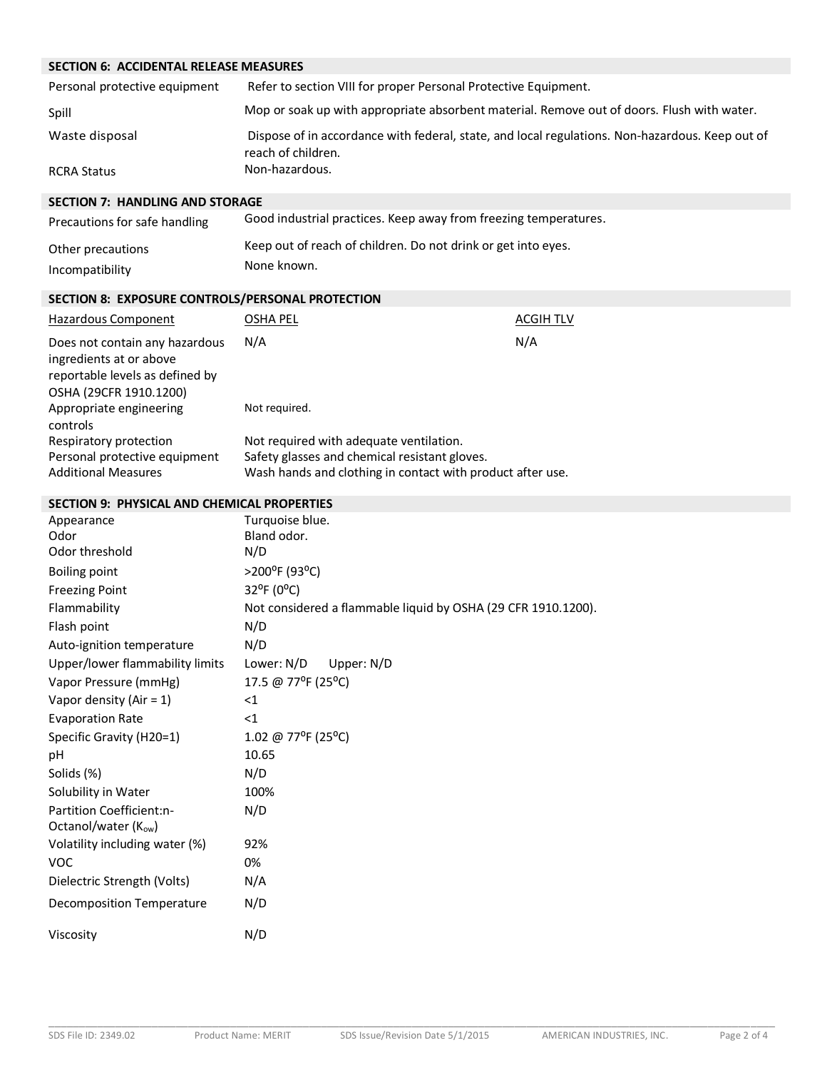# **SECTION 6: ACCIDENTAL RELEASE MEASURES**

| Personal protective equipment | Refer to section VIII for proper Personal Protective Equipment.                                                       |
|-------------------------------|-----------------------------------------------------------------------------------------------------------------------|
| Spill                         | Mop or soak up with appropriate absorbent material. Remove out of doors. Flush with water.                            |
| Waste disposal                | Dispose of in accordance with federal, state, and local regulations. Non-hazardous. Keep out of<br>reach of children. |
| <b>RCRA Status</b>            | Non-hazardous.                                                                                                        |

# **SECTION 7: HANDLING AND STORAGE**

| Precautions for safe handling | Good industrial practices. Keep away from freezing temperatures. |
|-------------------------------|------------------------------------------------------------------|
| Other precautions             | Keep out of reach of children. Do not drink or get into eyes.    |
| Incompatibility               | None known.                                                      |

# **SECTION 8: EXPOSURE CONTROLS/PERSONAL PROTECTION**

| Hazardous Component                                                                                                    | OSHA PEL                                                                                                                                               | <b>ACGIH TLV</b> |
|------------------------------------------------------------------------------------------------------------------------|--------------------------------------------------------------------------------------------------------------------------------------------------------|------------------|
| Does not contain any hazardous<br>ingredients at or above<br>reportable levels as defined by<br>OSHA (29CFR 1910.1200) | N/A                                                                                                                                                    | N/A              |
| Appropriate engineering<br>controls                                                                                    | Not required.                                                                                                                                          |                  |
| Respiratory protection<br>Personal protective equipment<br><b>Additional Measures</b>                                  | Not required with adequate ventilation.<br>Safety glasses and chemical resistant gloves.<br>Wash hands and clothing in contact with product after use. |                  |

#### **SECTION 9: PHYSICAL AND CHEMICAL PROPERTIES**

| Appearance<br>Odor              | Turquoise blue.<br>Bland odor.                                |
|---------------------------------|---------------------------------------------------------------|
| Odor threshold                  | N/D                                                           |
| <b>Boiling point</b>            | >200°F (93°C)                                                 |
| <b>Freezing Point</b>           | 32°F (0°C)                                                    |
| Flammability                    | Not considered a flammable liquid by OSHA (29 CFR 1910.1200). |
| Flash point                     | N/D                                                           |
| Auto-ignition temperature       | N/D                                                           |
| Upper/lower flammability limits | Lower: N/D<br>Upper: N/D                                      |
| Vapor Pressure (mmHg)           | 17.5 @ 77°F (25°C)                                            |
| Vapor density (Air = $1$ )      | <1                                                            |
| <b>Evaporation Rate</b>         | $\leq$ 1                                                      |
| Specific Gravity (H20=1)        | 1.02 @ 77°F (25°C)                                            |
| рH                              | 10.65                                                         |
| Solids (%)                      | N/D                                                           |
| Solubility in Water             | 100%                                                          |
| Partition Coefficient:n-        | N/D                                                           |
| Octanol/water (Kow)             |                                                               |
| Volatility including water (%)  | 92%                                                           |
| <b>VOC</b>                      | 0%                                                            |
| Dielectric Strength (Volts)     | N/A                                                           |
| Decomposition Temperature       | N/D                                                           |
| Viscosity                       | N/D                                                           |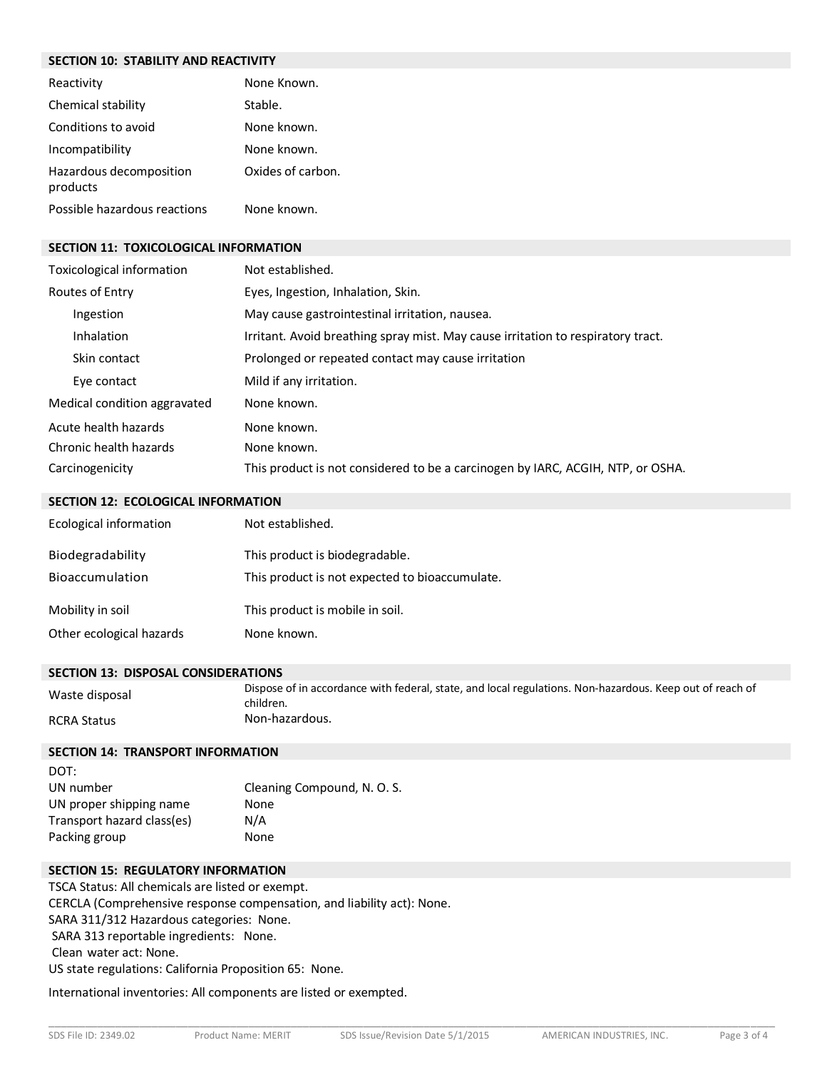# **SECTION 10: STABILITY AND REACTIVITY**

| <b>JLCHON IV. JIADILIH AND KLACHVIH</b> |                   |
|-----------------------------------------|-------------------|
| Reactivity                              | None Known.       |
| Chemical stability                      | Stable.           |
| Conditions to avoid                     | None known.       |
| Incompatibility                         | None known.       |
| Hazardous decomposition<br>products     | Oxides of carbon. |
| Possible hazardous reactions            | None known.       |

## **SECTION 11: TOXICOLOGICAL INFORMATION**

| Toxicological information    | Not established.                                                                 |
|------------------------------|----------------------------------------------------------------------------------|
| Routes of Entry              | Eyes, Ingestion, Inhalation, Skin.                                               |
| Ingestion                    | May cause gastrointestinal irritation, nausea.                                   |
| Inhalation                   | Irritant. Avoid breathing spray mist. May cause irritation to respiratory tract. |
| Skin contact                 | Prolonged or repeated contact may cause irritation                               |
| Eye contact                  | Mild if any irritation.                                                          |
| Medical condition aggravated | None known.                                                                      |
| Acute health hazards         | None known.                                                                      |
| Chronic health hazards       | None known.                                                                      |
| Carcinogenicity              | This product is not considered to be a carcinogen by IARC, ACGIH, NTP, or OSHA.  |

#### **SECTION 12: ECOLOGICAL INFORMATION**

| Ecological information   | Not established.                               |
|--------------------------|------------------------------------------------|
| Biodegradability         | This product is biodegradable.                 |
| Bioaccumulation          | This product is not expected to bioaccumulate. |
| Mobility in soil         | This product is mobile in soil.                |
| Other ecological hazards | None known.                                    |

#### **SECTION 13: DISPOSAL CONSIDERATIONS**

| Waste disposal | Dispose of in accordance with federal, state, and local regulations. Non-hazardous. Keep out of reach of<br>children. |
|----------------|-----------------------------------------------------------------------------------------------------------------------|
| RCRA Status    | Non-hazardous.                                                                                                        |

## **SECTION 14: TRANSPORT INFORMATION**

| DOT:                       |                             |
|----------------------------|-----------------------------|
| UN number                  | Cleaning Compound, N. O. S. |
| UN proper shipping name    | None                        |
| Transport hazard class(es) | N/A                         |
| Packing group              | None                        |

# **SECTION 15: REGULATORY INFORMATION**

TSCA Status: All chemicals are listed or exempt. CERCLA (Comprehensive response compensation, and liability act): None. SARA 311/312 Hazardous categories: None. SARA 313 reportable ingredients: None. Clean water act: None. US state regulations: California Proposition 65: None.

International inventories: All components are listed or exempted.